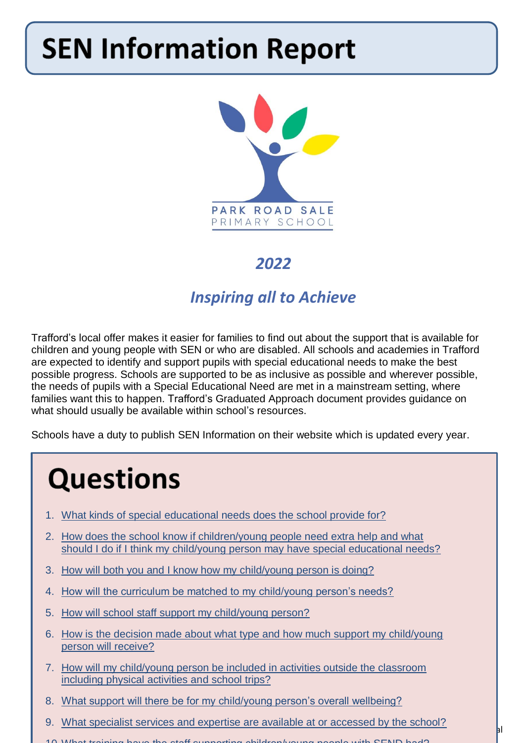# **SEN Information Report**



# *2022*

# *Inspiring all to Achieve*

Trafford's local offer makes it easier for families to find out about the support that is available for children and young people with SEN or who are disabled. All schools and academies in Trafford are expected to identify and support pupils with special educational needs to make the best possible progress. Schools are supported to be as inclusive as possible and wherever possible, the needs of pupils with a Special Educational Need are met in a mainstream setting, where families want this to happen. Trafford's Graduated Approach document provides guidance on what should usually be available within school's resources.

Schools have a duty to publish SEN Information on their website which is updated every year.

# **Questions**

- 1. [What kinds of special educational needs does the school provide for?](#page-1-0)
- 2. [How does the school know if children/young people need extra help and what](#page-2-0)  [should I do if I think my child/young person may have special educational needs?](#page-2-0)
- 3. [How will both you and I know how my child/young person is doing?](#page-2-1)
- 4. [How will the curriculum be matched to my child/young person's needs?](#page-3-0)
- 5. [How will school staff support my child/young person?](#page-3-1)
- 6. [How is the decision made about what type and how much support my child/young](#page-4-0)  [person will receive?](#page-4-0)
- 7. How will my child/young person be included in activities outside the classroom [including physical activities and school trips?](#page-5-0)
- 8. [What support will there be for my child/young person's overall wellbeing?](#page-5-1)
- 9. [What specialist services and expertise are available at or accessed by the school?](#page-6-0)
- 10[.What training have the staff supporting children/young people with SEND had?](#page-6-1)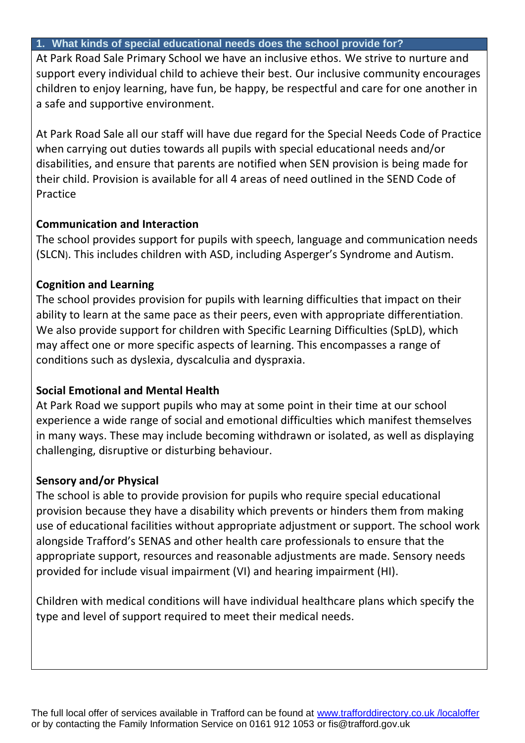#### <span id="page-1-0"></span>**1. What kinds of special educational needs does the school provide for?**

At Park Road Sale Primary School we have an inclusive ethos. We strive to nurture and support every individual child to achieve their best. Our inclusive community encourages children to enjoy learning, have fun, be happy, be respectful and care for one another in a safe and supportive environment.

At Park Road Sale all our staff will have due regard for the Special Needs Code of Practice when carrying out duties towards all pupils with special educational needs and/or disabilities, and ensure that parents are notified when SEN provision is being made for their child. Provision is available for all 4 areas of need outlined in the SEND Code of Practice

#### **Communication and Interaction**

The school provides support for pupils with speech, language and communication needs (SLCN). This includes children with ASD, including Asperger's Syndrome and Autism.

## **Cognition and Learning**

The school provides provision for pupils with learning difficulties that impact on their ability to learn at the same pace as their peers, even with appropriate differentiation. We also provide support for children with Specific Learning Difficulties (SpLD), which may affect one or more specific aspects of learning. This encompasses a range of conditions such as dyslexia, dyscalculia and dyspraxia.

## **Social Emotional and Mental Health**

At Park Road we support pupils who may at some point in their time at our school experience a wide range of social and emotional difficulties which manifest themselves in many ways. These may include becoming withdrawn or isolated, as well as displaying challenging, disruptive or disturbing behaviour.

## **Sensory and/or Physical**

The school is able to provide provision for pupils who require special educational provision because they have a disability which prevents or hinders them from making use of educational facilities without appropriate adjustment or support. The school work alongside Trafford's SENAS and other health care professionals to ensure that the appropriate support, resources and reasonable adjustments are made. Sensory needs provided for include visual impairment (VI) and hearing impairment (HI).

Children with medical conditions will have individual healthcare plans which specify the type and level of support required to meet their medical needs.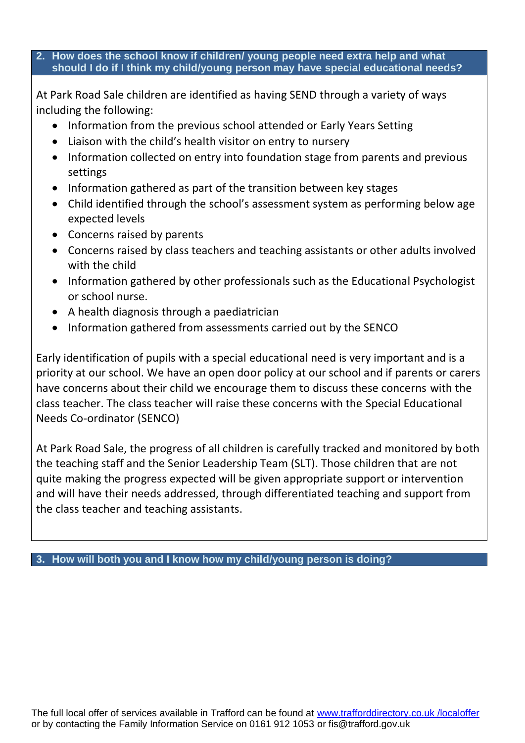#### <span id="page-2-0"></span>**2. How does the school know if children/ young people need extra help and what should I do if I think my child/young person may have special educational needs?**

At Park Road Sale children are identified as having SEND through a variety of ways including the following:

- Information from the previous school attended or Early Years Setting
- Liaison with the child's health visitor on entry to nursery
- Information collected on entry into foundation stage from parents and previous settings
- Information gathered as part of the transition between key stages
- Child identified through the school's assessment system as performing below age expected levels
- Concerns raised by parents
- Concerns raised by class teachers and teaching assistants or other adults involved with the child
- Information gathered by other professionals such as the Educational Psychologist or school nurse.
- A health diagnosis through a paediatrician
- Information gathered from assessments carried out by the SENCO

Early identification of pupils with a special educational need is very important and is a priority at our school. We have an open door policy at our school and if parents or carers have concerns about their child we encourage them to discuss these concerns with the class teacher. The class teacher will raise these concerns with the Special Educational Needs Co-ordinator (SENCO)

At Park Road Sale, the progress of all children is carefully tracked and monitored by both the teaching staff and the Senior Leadership Team (SLT). Those children that are not quite making the progress expected will be given appropriate support or intervention and will have their needs addressed, through differentiated teaching and support from the class teacher and teaching assistants.

<span id="page-2-1"></span>**3. How will both you and I know how my child/young person is doing?**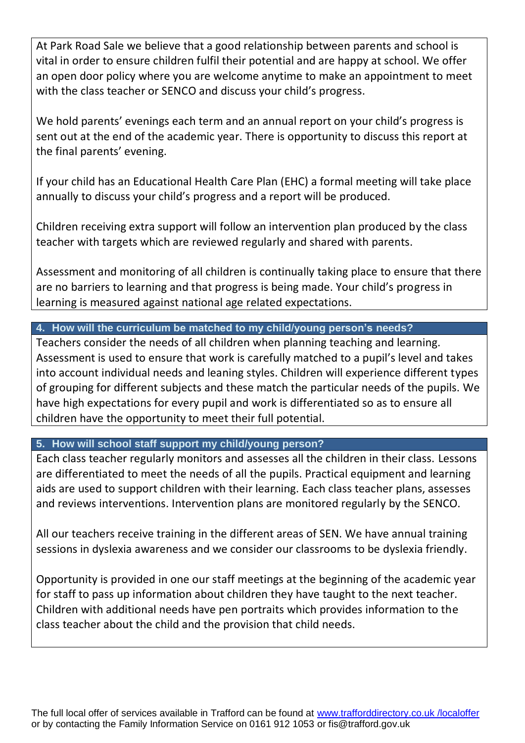At Park Road Sale we believe that a good relationship between parents and school is vital in order to ensure children fulfil their potential and are happy at school. We offer an open door policy where you are welcome anytime to make an appointment to meet with the class teacher or SENCO and discuss your child's progress.

We hold parents' evenings each term and an annual report on your child's progress is sent out at the end of the academic year. There is opportunity to discuss this report at the final parents' evening.

If your child has an Educational Health Care Plan (EHC) a formal meeting will take place annually to discuss your child's progress and a report will be produced.

Children receiving extra support will follow an intervention plan produced by the class teacher with targets which are reviewed regularly and shared with parents.

Assessment and monitoring of all children is continually taking place to ensure that there are no barriers to learning and that progress is being made. Your child's progress in learning is measured against national age related expectations.

#### <span id="page-3-0"></span>**4. How will the curriculum be matched to my child/young person's needs?**

Teachers consider the needs of all children when planning teaching and learning. Assessment is used to ensure that work is carefully matched to a pupil's level and takes into account individual needs and leaning styles. Children will experience different types of grouping for different subjects and these match the particular needs of the pupils. We have high expectations for every pupil and work is differentiated so as to ensure all children have the opportunity to meet their full potential.

<span id="page-3-1"></span>**5. How will school staff support my child/young person?**

Each class teacher regularly monitors and assesses all the children in their class. Lessons are differentiated to meet the needs of all the pupils. Practical equipment and learning aids are used to support children with their learning. Each class teacher plans, assesses and reviews interventions. Intervention plans are monitored regularly by the SENCO.

All our teachers receive training in the different areas of SEN. We have annual training sessions in dyslexia awareness and we consider our classrooms to be dyslexia friendly.

Opportunity is provided in one our staff meetings at the beginning of the academic year for staff to pass up information about children they have taught to the next teacher. Children with additional needs have pen portraits which provides information to the class teacher about the child and the provision that child needs.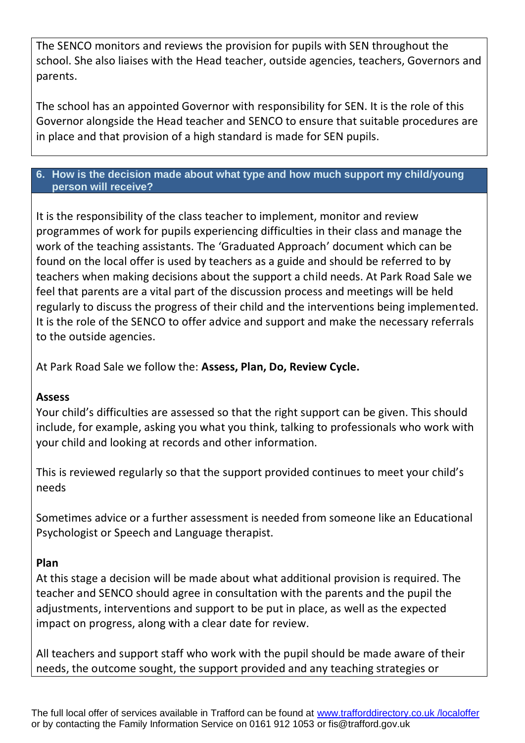The SENCO monitors and reviews the provision for pupils with SEN throughout the school. She also liaises with the Head teacher, outside agencies, teachers, Governors and parents.

The school has an appointed Governor with responsibility for SEN. It is the role of this Governor alongside the Head teacher and SENCO to ensure that suitable procedures are in place and that provision of a high standard is made for SEN pupils.

#### <span id="page-4-0"></span>**6. How is the decision made about what type and how much support my child/young person will receive?**

It is the responsibility of the class teacher to implement, monitor and review programmes of work for pupils experiencing difficulties in their class and manage the work of the teaching assistants. The 'Graduated Approach' document which can be found on the local offer is used by teachers as a guide and should be referred to by teachers when making decisions about the support a child needs. At Park Road Sale we feel that parents are a vital part of the discussion process and meetings will be held regularly to discuss the progress of their child and the interventions being implemented. It is the role of the SENCO to offer advice and support and make the necessary referrals to the outside agencies.

At Park Road Sale we follow the: **Assess, Plan, Do, Review Cycle.**

#### **Assess**

Your child's difficulties are assessed so that the right support can be given. This should include, for example, asking you what you think, talking to professionals who work with your child and looking at records and other information.

This is reviewed regularly so that the support provided continues to meet your child's needs

Sometimes advice or a further assessment is needed from someone like an Educational Psychologist or Speech and Language therapist.

#### **Plan**

At this stage a decision will be made about what additional provision is required. The teacher and SENCO should agree in consultation with the parents and the pupil the adjustments, interventions and support to be put in place, as well as the expected impact on progress, along with a clear date for review.

All teachers and support staff who work with the pupil should be made aware of their needs, the outcome sought, the support provided and any teaching strategies or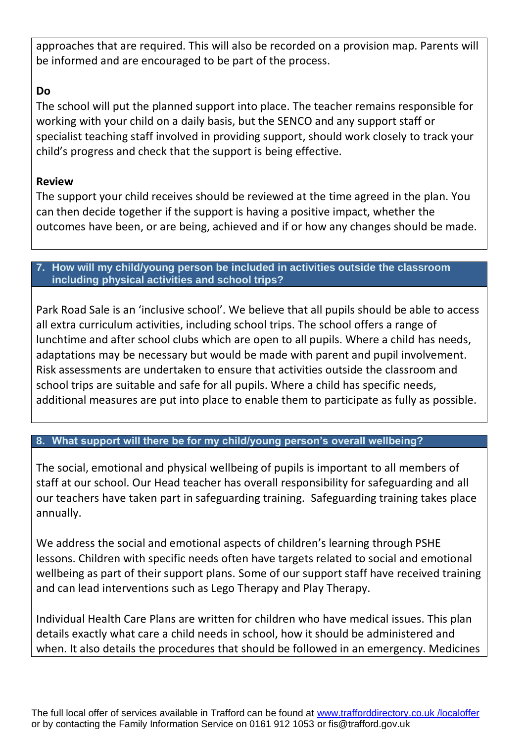approaches that are required. This will also be recorded on a provision map. Parents will be informed and are encouraged to be part of the process.

# **Do**

The school will put the planned support into place. The teacher remains responsible for working with your child on a daily basis, but the SENCO and any support staff or specialist teaching staff involved in providing support, should work closely to track your child's progress and check that the support is being effective.

#### **Review**

The support your child receives should be reviewed at the time agreed in the plan. You can then decide together if the support is having a positive impact, whether the outcomes have been, or are being, achieved and if or how any changes should be made.

#### <span id="page-5-0"></span>**7. How will my child/young person be included in activities outside the classroom including physical activities and school trips?**

Park Road Sale is an 'inclusive school'. We believe that all pupils should be able to access all extra curriculum activities, including school trips. The school offers a range of lunchtime and after school clubs which are open to all pupils. Where a child has needs, adaptations may be necessary but would be made with parent and pupil involvement. Risk assessments are undertaken to ensure that activities outside the classroom and school trips are suitable and safe for all pupils. Where a child has specific needs, additional measures are put into place to enable them to participate as fully as possible.

## <span id="page-5-1"></span>**8. What support will there be for my child/young person's overall wellbeing?**

The social, emotional and physical wellbeing of pupils is important to all members of staff at our school. Our Head teacher has overall responsibility for safeguarding and all our teachers have taken part in safeguarding training. Safeguarding training takes place annually.

We address the social and emotional aspects of children's learning through PSHE lessons. Children with specific needs often have targets related to social and emotional wellbeing as part of their support plans. Some of our support staff have received training and can lead interventions such as Lego Therapy and Play Therapy.

Individual Health Care Plans are written for children who have medical issues. This plan details exactly what care a child needs in school, how it should be administered and when. It also details the procedures that should be followed in an emergency. Medicines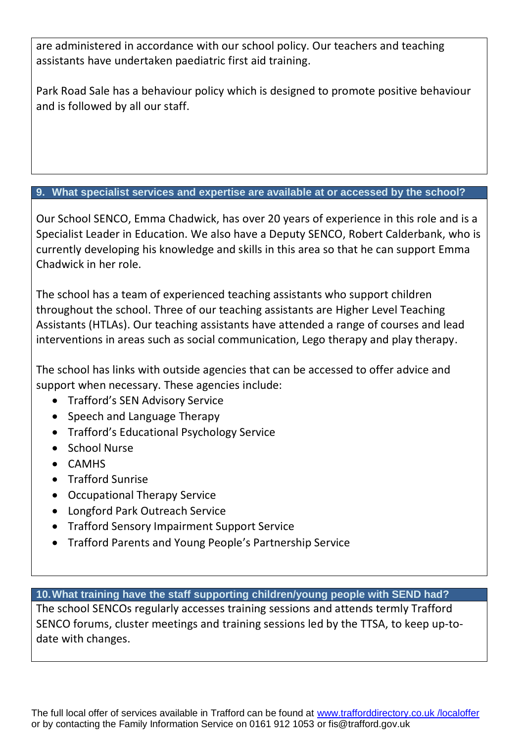are administered in accordance with our school policy. Our teachers and teaching assistants have undertaken paediatric first aid training.

Park Road Sale has a behaviour policy which is designed to promote positive behaviour and is followed by all our staff.

#### <span id="page-6-0"></span>**9. What specialist services and expertise are available at or accessed by the school?**

Our School SENCO, Emma Chadwick, has over 20 years of experience in this role and is a Specialist Leader in Education. We also have a Deputy SENCO, Robert Calderbank, who is currently developing his knowledge and skills in this area so that he can support Emma Chadwick in her role.

The school has a team of experienced teaching assistants who support children throughout the school. Three of our teaching assistants are Higher Level Teaching Assistants (HTLAs). Our teaching assistants have attended a range of courses and lead interventions in areas such as social communication, Lego therapy and play therapy.

The school has links with outside agencies that can be accessed to offer advice and support when necessary. These agencies include:

- Trafford's SEN Advisory Service
- Speech and Language Therapy
- Trafford's Educational Psychology Service
- School Nurse
- CAMHS
- **•** Trafford Sunrise
- Occupational Therapy Service
- Longford Park Outreach Service
- Trafford Sensory Impairment Support Service
- Trafford Parents and Young People's Partnership Service

<span id="page-6-1"></span>**10.What training have the staff supporting children/young people with SEND had?**

The school SENCOs regularly accesses training sessions and attends termly Trafford SENCO forums, cluster meetings and training sessions led by the TTSA, to keep up-todate with changes.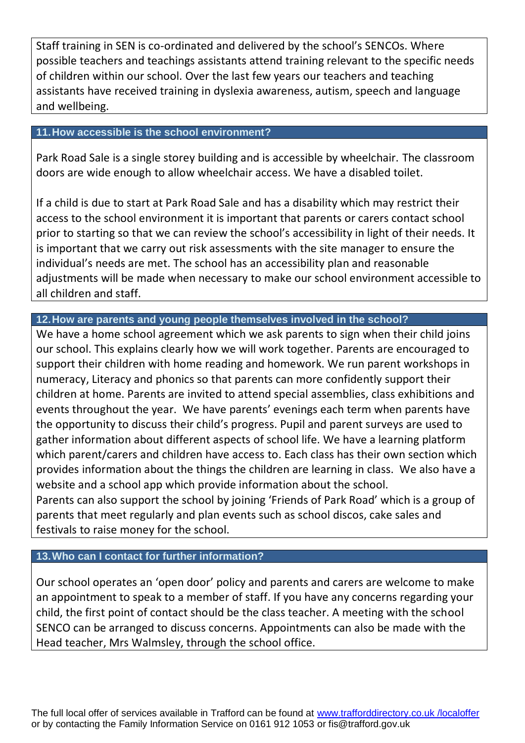Staff training in SEN is co-ordinated and delivered by the school's SENCOs. Where possible teachers and teachings assistants attend training relevant to the specific needs of children within our school. Over the last few years our teachers and teaching assistants have received training in dyslexia awareness, autism, speech and language and wellbeing.

#### **11.How accessible is the school environment?**

Park Road Sale is a single storey building and is accessible by wheelchair. The classroom doors are wide enough to allow wheelchair access. We have a disabled toilet.

If a child is due to start at Park Road Sale and has a disability which may restrict their access to the school environment it is important that parents or carers contact school prior to starting so that we can review the school's accessibility in light of their needs. It is important that we carry out risk assessments with the site manager to ensure the individual's needs are met. The school has an accessibility plan and reasonable adjustments will be made when necessary to make our school environment accessible to all children and staff.

#### **12.How are parents and young people themselves involved in the school?**

We have a home school agreement which we ask parents to sign when their child joins our school. This explains clearly how we will work together. Parents are encouraged to support their children with home reading and homework. We run parent workshops in numeracy, Literacy and phonics so that parents can more confidently support their children at home. Parents are invited to attend special assemblies, class exhibitions and events throughout the year. We have parents' evenings each term when parents have the opportunity to discuss their child's progress. Pupil and parent surveys are used to gather information about different aspects of school life. We have a learning platform which parent/carers and children have access to. Each class has their own section which provides information about the things the children are learning in class. We also have a website and a school app which provide information about the school. Parents can also support the school by joining 'Friends of Park Road' which is a group of parents that meet regularly and plan events such as school discos, cake sales and festivals to raise money for the school.

#### **13.Who can I contact for further information?**

Our school operates an 'open door' policy and parents and carers are welcome to make an appointment to speak to a member of staff. If you have any concerns regarding your child, the first point of contact should be the class teacher. A meeting with the school SENCO can be arranged to discuss concerns. Appointments can also be made with the Head teacher, Mrs Walmsley, through the school office.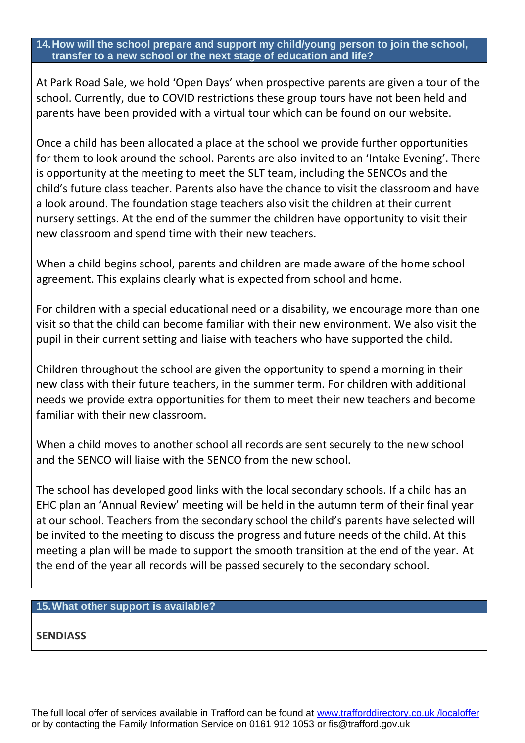#### **14.How will the school prepare and support my child/young person to join the school, transfer to a new school or the next stage of education and life?**

At Park Road Sale, we hold 'Open Days' when prospective parents are given a tour of the school. Currently, due to COVID restrictions these group tours have not been held and parents have been provided with a virtual tour which can be found on our website.

Once a child has been allocated a place at the school we provide further opportunities for them to look around the school. Parents are also invited to an 'Intake Evening'. There is opportunity at the meeting to meet the SLT team, including the SENCOs and the child's future class teacher. Parents also have the chance to visit the classroom and have a look around. The foundation stage teachers also visit the children at their current nursery settings. At the end of the summer the children have opportunity to visit their new classroom and spend time with their new teachers.

When a child begins school, parents and children are made aware of the home school agreement. This explains clearly what is expected from school and home.

For children with a special educational need or a disability, we encourage more than one visit so that the child can become familiar with their new environment. We also visit the pupil in their current setting and liaise with teachers who have supported the child.

Children throughout the school are given the opportunity to spend a morning in their new class with their future teachers, in the summer term. For children with additional needs we provide extra opportunities for them to meet their new teachers and become familiar with their new classroom.

When a child moves to another school all records are sent securely to the new school and the SENCO will liaise with the SENCO from the new school.

The school has developed good links with the local secondary schools. If a child has an EHC plan an 'Annual Review' meeting will be held in the autumn term of their final year at our school. Teachers from the secondary school the child's parents have selected will be invited to the meeting to discuss the progress and future needs of the child. At this meeting a plan will be made to support the smooth transition at the end of the year. At the end of the year all records will be passed securely to the secondary school.

#### **15.What other support is available?**

**SENDIASS**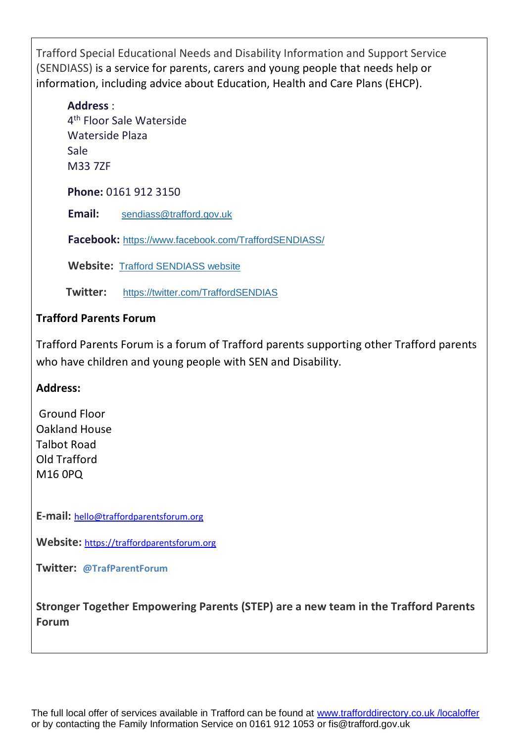Trafford Special Educational Needs and Disability Information and Support Service (SENDIASS) is a service for parents, carers and young people that needs help or information, including advice about Education, Health and Care Plans (EHCP).

#### **Address** :

4<sup>th</sup> Floor Sale Waterside Waterside Plaza Sale M33 7ZF

**Phone:** 0161 912 3150

**Email:** [sendiass@trafford.gov.uk](mailto:sendiass@trafford.gov.uk)

**Facebook:** <https://www.facebook.com/TraffordSENDIASS/>

**Website:** [Trafford SENDIASS website](https://sendiass.trafford.gov.uk/)

 **Twitter:** <https://twitter.com/TraffordSENDIAS>

#### **Trafford Parents Forum**

Trafford Parents Forum is a forum of Trafford parents supporting other Trafford parents who have children and young people with SEN and Disability.

#### **Address:**

Ground Floor Oakland House Talbot Road Old Trafford M16 0PQ

**E-mail:** [hello@traffordparentsforum.org](mailto:hello@traffordparentsforum.org)

**Website:** [https://traffordparentsforum.org](https://traffordparentsforum.org/)

**Twitter: @TrafParentForum**

**Stronger Together Empowering Parents (STEP) are a new team in the Trafford Parents Forum**